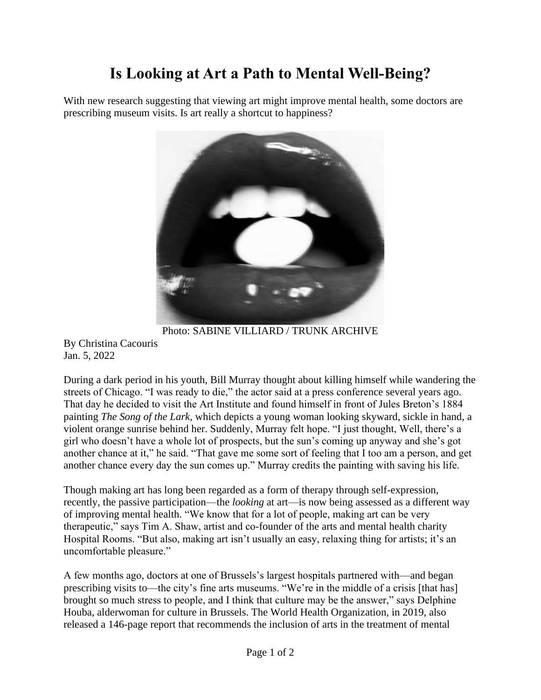## **Is Looking at Art a Path to Mental Well-Being?**

With new research suggesting that viewing art might improve mental health, some doctors are prescribing museum visits. Is art really a shortcut to happiness?



Photo: SABINE VILLIARD / TRUNK ARCHIVE By Christina Cacouris

Jan. 5, 2022

During a dark period in his youth, Bill Murray thought about killing himself while wandering the streets of Chicago. "I was ready to die," the actor said at a press conference several years ago. That day he decided to visit the Art Institute and found himself in front of Jules Breton's 1884 painting *The Song of the Lark*, which depicts a young woman looking skyward, sickle in hand, a violent orange sunrise behind her. Suddenly, Murray felt hope. "I just thought, Well, there's a girl who doesn't have a whole lot of prospects, but the sun's coming up anyway and she's got another chance at it," he said. "That gave me some sort of feeling that I too am a person, and get another chance every day the sun comes up." Murray credits the painting with saving his life.

Though making art has long been regarded as a form of therapy through self-expression, recently, the passive participation—the *looking* at art—is now being assessed as a different way of improving mental health. "We know that for a lot of people, making art can be very therapeutic," says Tim A. Shaw, artist and co-founder of the arts and mental health charity Hospital Rooms. "But also, making art isn't usually an easy, relaxing thing for artists; it's an uncomfortable pleasure."

A few months ago, doctors at one of Brussels's largest hospitals partnered with—and began prescribing visits to—the city's fine arts museums. "We're in the middle of a crisis [that has] brought so much stress to people, and I think that culture may be the answer," says Delphine Houba, alderwoman for culture in Brussels. The World Health Organization, in 2019, also released a 146-page report that recommends the inclusion of arts in the treatment of mental